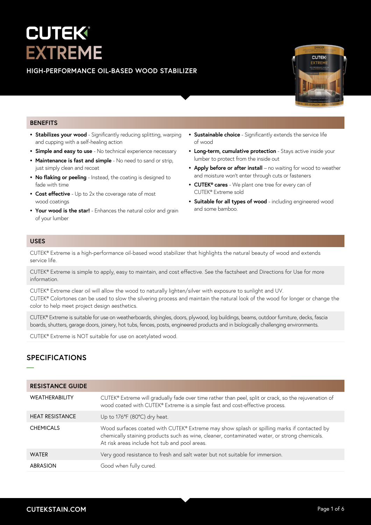# EK **EXTREME**

## **HIGH-PERFORMANCE OIL-BASED WOOD STABILIZER**



#### **BENEFITS**

- **• Stabilizes your wood** Significantly reducing splitting, warping and cupping with a self-healing action
- **• Simple and easy to use**  No technical experience necessary
- **• Maintenance is fast and simple**  No need to sand or strip, just simply clean and recoat
- **• No flaking or peeling**  Instead, the coating is designed to fade with time
- **• Cost effective**  Up to 2x the coverage rate of most wood coatings
- **• Your wood is the star!**  Enhances the natural color and grain of your lumber
- **• Sustainable choice** Significantly extends the service life of wood
- **• Long-term, cumulative protection**  Stays active inside your lumber to protect from the inside out
- **Apply before or after install** no waiting for wood to weather and moisture won't enter through cuts or fasteners
- **• CUTEK® cares**  We plant one tree for every can of CUTEK® Extreme sold
- **• Suitable for all types of wood**  including engineered wood and some bamboo.

#### **USES**

CUTEK® Extreme is a high-performance oil-based wood stabilizer that highlights the natural beauty of wood and extends service life.

CUTEK® Extreme is simple to apply, easy to maintain, and cost effective. See the factsheet and Directions for Use for more information.

CUTEK® Extreme clear oil will allow the wood to naturally lighten/silver with exposure to sunlight and UV. CUTEK® Colortones can be used to slow the silvering process and maintain the natural look of the wood for longer or change the color to help meet project design aesthetics.

CUTEK® Extreme is suitable for use on weatherboards, shingles, doors, plywood, log buildings, beams, outdoor furniture, decks, fascia boards, shutters, garage doors, joinery, hot tubs, fences, posts, engineered products and in biologically challenging environments.

CUTEK® Extreme is NOT suitable for use on acetylated wood.

# **SPECIFICATIONS**

**—**

| <b>RESISTANCE GUIDE</b> |                                                                                                                                                                                                                                             |
|-------------------------|---------------------------------------------------------------------------------------------------------------------------------------------------------------------------------------------------------------------------------------------|
| <b>WEATHERABILITY</b>   | CUTEK® Extreme will gradually fade over time rather than peel, split or crack, so the rejuvenation of<br>wood coated with CUTEK® Extreme is a simple fast and cost-effective process.                                                       |
| <b>HEAT RESISTANCE</b>  | Up to 176°F (80°C) dry heat.                                                                                                                                                                                                                |
| <b>CHEMICALS</b>        | Wood surfaces coated with CUTEK® Extreme may show splash or spilling marks if contacted by<br>chemically staining products such as wine, cleaner, contaminated water, or strong chemicals.<br>At risk areas include hot tub and pool areas. |
| <b>WATER</b>            | Very good resistance to fresh and salt water but not suitable for immersion.                                                                                                                                                                |
| ABRASION                | Good when fully cured.                                                                                                                                                                                                                      |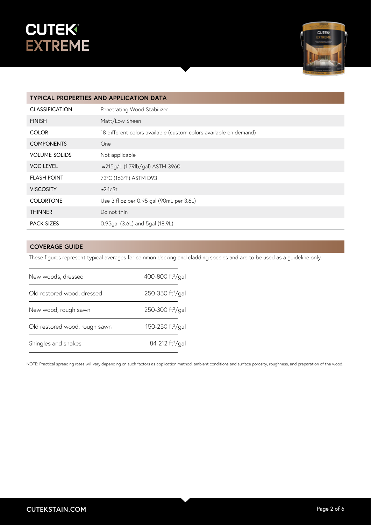



| <b>TYPICAL PROPERTIES AND APPLICATION DATA</b> |                                                                   |  |
|------------------------------------------------|-------------------------------------------------------------------|--|
| <b>CLASSIFICATION</b>                          | Penetrating Wood Stabilizer                                       |  |
| <b>FINISH</b>                                  | Matt/Low Sheen                                                    |  |
| <b>COLOR</b>                                   | 18 different colors available (custom colors available on demand) |  |
| <b>COMPONENTS</b>                              | One                                                               |  |
| <b>VOLUME SOLIDS</b>                           | Not applicable                                                    |  |
| <b>VOC LEVEL</b>                               | ≈215g/L (1.79lb/gal) ASTM 3960                                    |  |
| <b>FLASH POINT</b>                             | 73°C (163°F) ASTM D93                                             |  |
| <b>VISCOSITY</b>                               | $\approx$ 24cSt                                                   |  |
| <b>COLORTONE</b>                               | Use 3 fl oz per 0.95 gal (90mL per 3.6L)                          |  |
| <b>THINNER</b>                                 | Do not thin                                                       |  |
| <b>PACK SIZES</b>                              | 0.95gal (3.6L) and 5gal (18.9L)                                   |  |

## **COVERAGE GUIDE**

These figures represent typical averages for common decking and cladding species and are to be used as a guideline only.

| New woods, dressed            | 400-800 ft <sup>2</sup> /gal |  |
|-------------------------------|------------------------------|--|
| Old restored wood, dressed    | 250-350 ft <sup>2</sup> /gal |  |
| New wood, rough sawn          | 250-300 ft <sup>2</sup> /gal |  |
| Old restored wood, rough sawn | 150-250 ft <sup>2</sup> /gal |  |
| Shingles and shakes           | 84-212 ft <sup>2</sup> /gal  |  |

NOTE: Practical spreading rates will vary depending on such factors as application method, ambient conditions and surface porosity, roughness, and preparation of the wood.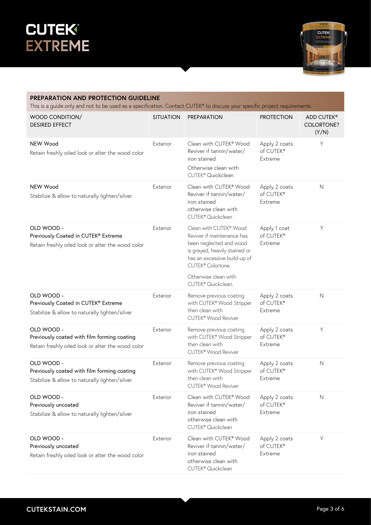



| PREPARATION AND PROTECTION GUIDELINE<br>This is a guide only and not to be used as a specification. Contact CUTEK® to discuss your specific project requirements. |                  |                                                                                                                                                                                                                                 |                                       |                                          |  |
|-------------------------------------------------------------------------------------------------------------------------------------------------------------------|------------------|---------------------------------------------------------------------------------------------------------------------------------------------------------------------------------------------------------------------------------|---------------------------------------|------------------------------------------|--|
| WOOD CONDITION/<br><b>DESIRED EFFECT</b>                                                                                                                          | <b>SITUATION</b> | <b>PREPARATION</b>                                                                                                                                                                                                              | <b>PROTECTION</b>                     | ADD CUTEK®<br><b>COLORTONE?</b><br>(Y/N) |  |
| NEW Wood<br>Retain freshly oiled look or alter the wood color                                                                                                     | Exterior         | Clean with CUTEK® Wood<br>Reviver if tannin/water/<br>iron stained<br>Otherwise clean with<br>CUTEK® Quickclean                                                                                                                 | Apply 2 coats<br>of CUTEK®<br>Extreme | Y                                        |  |
| NEW Wood<br>Stabilize & allow to naturally lighten/silver                                                                                                         | Exterior         | Clean with CUTEK® Wood<br>Reviver if tannin/water/<br>iron stained<br>otherwise clean with<br>CUTEK <sup>®</sup> Quickclean                                                                                                     | Apply 2 coats<br>of CUTEK®<br>Extreme | $\mathsf{N}$                             |  |
| OLD WOOD -<br>Previously Coated in CUTEK® Extreme<br>Retain freshly oiled look or alter the wood color                                                            | Exterior         | Clean with CUTEK® Wood<br>Reviver if maintenance has<br>been neglected and wood<br>is grayed, heavily stained or<br>has an excessive build-up of<br>CUTEK <sup>®</sup> Colortone.<br>Otherwise clean with<br>CUTEK® Quickclean. | Apply 1 coat<br>of CUTEK®<br>Extreme  | Y                                        |  |
| OLD WOOD -<br>Previously Coated in CUTEK® Extreme<br>Stabilize & allow to naturally lighten/silver                                                                | Exterior         | Remove previous coating<br>with CUTEK® Wood Stripper<br>then clean with<br>CUTEK® Wood Reviver                                                                                                                                  | Apply 2 coats<br>of CUTEK®<br>Extreme | $\mathsf{N}$                             |  |
| OLD WOOD -<br>Previously coated with film forming coating<br>Retain freshly oiled look or alter the wood color                                                    | Exterior         | Remove previous coating<br>with CUTEK® Wood Stripper<br>then clean with<br>CUTEK <sup>®</sup> Wood Reviver                                                                                                                      | Apply 2 coats<br>of CUTEK®<br>Extreme | Y                                        |  |
| OLD WOOD -<br>Previously coated with film forming coating<br>Stabilize & allow to naturally lighten/silver                                                        | Exterior         | Remove previous coating<br>with CUTEK® Wood Stripper<br>then clean with<br>CUTEK® Wood Reviver                                                                                                                                  | Apply 2 coats<br>of CUTEK®<br>Extreme | $\mathsf{N}$                             |  |
| OLD WOOD -<br>Previously uncoated<br>Stabilize & allow to naturally lighten/silver                                                                                | Exterior         | Clean with CUTEK® Wood<br>Reviver if tannin/water/<br>iron stained<br>otherwise clean with<br>CUTEK <sup>®</sup> Quickclean                                                                                                     | Apply 2 coats<br>of CUTEK®<br>Extreme | $\mathsf{N}$                             |  |
| OLD WOOD -<br>Previously uncoated<br>Retain freshly oiled look or alter the wood color                                                                            | Exterior         | Clean with CUTEK® Wood<br>Reviver if tannin/water/<br>iron stained<br>otherwise clean with<br>CUTEK® Quickclean                                                                                                                 | Apply 2 coats<br>of CUTEK®<br>Extreme | Y                                        |  |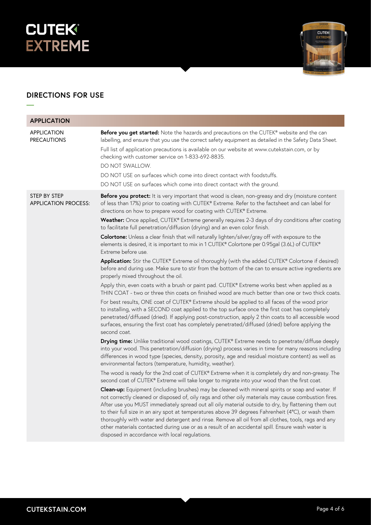



# **DIRECTIONS FOR USE**

**—**

| <b>APPLICATION</b>                          |                                                                                                                                                                                                                                                                                                                                                                                                                                                                                                                                                                                                                                                                                                                                                                                                                                                                                                                                                                                                                                                                                                                                                                                                                                                                                                                                                                                                                                                                                                                                                                                                                                                                                                                                                                                                    |
|---------------------------------------------|----------------------------------------------------------------------------------------------------------------------------------------------------------------------------------------------------------------------------------------------------------------------------------------------------------------------------------------------------------------------------------------------------------------------------------------------------------------------------------------------------------------------------------------------------------------------------------------------------------------------------------------------------------------------------------------------------------------------------------------------------------------------------------------------------------------------------------------------------------------------------------------------------------------------------------------------------------------------------------------------------------------------------------------------------------------------------------------------------------------------------------------------------------------------------------------------------------------------------------------------------------------------------------------------------------------------------------------------------------------------------------------------------------------------------------------------------------------------------------------------------------------------------------------------------------------------------------------------------------------------------------------------------------------------------------------------------------------------------------------------------------------------------------------------------|
| <b>APPLICATION</b><br><b>PRECAUTIONS</b>    | Before you get started: Note the hazards and precautions on the CUTEK® website and the can<br>labelling, and ensure that you use the correct safety equipment as detailed in the Safety Data Sheet.<br>Full list of application precautions is available on our website at www.cutekstain.com, or by<br>checking with customer service on 1-833-692-8835.<br>DO NOT SWALLOW.<br>DO NOT USE on surfaces which come into direct contact with foodstuffs.<br>DO NOT USE on surfaces which come into direct contact with the ground.                                                                                                                                                                                                                                                                                                                                                                                                                                                                                                                                                                                                                                                                                                                                                                                                                                                                                                                                                                                                                                                                                                                                                                                                                                                                   |
| STEP BY STEP<br><b>APPLICATION PROCESS:</b> | Before you protect: It is very important that wood is clean, non-greasy and dry (moisture content<br>of less than 17%) prior to coating with CUTEK® Extreme. Refer to the factsheet and can label for<br>directions on how to prepare wood for coating with CUTEK® Extreme.<br>Weather: Once applied, CUTEK® Extreme generally requires 2-3 days of dry conditions after coating<br>to facilitate full penetration/diffusion (drying) and an even color finish.<br>Colortone: Unless a clear finish that will naturally lighten/silver/gray off with exposure to the<br>elements is desired, it is important to mix in 1 CUTEK® Colortone per 0.95gal (3.6L) of CUTEK®<br>Extreme before use.<br>Application: Stir the CUTEK® Extreme oil thoroughly (with the added CUTEK® Colortone if desired)<br>before and during use. Make sure to stir from the bottom of the can to ensure active ingredients are<br>properly mixed throughout the oil.<br>Apply thin, even coats with a brush or paint pad. CUTEK® Extreme works best when applied as a<br>THIN COAT - two or three thin coats on finished wood are much better than one or two thick coats.<br>For best results, ONE coat of CUTEK® Extreme should be applied to all faces of the wood prior<br>to installing, with a SECOND coat applied to the top surface once the first coat has completely<br>penetrated/diffused (dried). If applying post-construction, apply 2 thin coats to all accessible wood<br>surfaces, ensuring the first coat has completely penetrated/diffused (dried) before applying the<br>second coat.<br>Drying time: Unlike traditional wood coatings, CUTEK® Extreme needs to penetrate/diffuse deeply<br>into your wood. This penetration/diffusion (drying) process varies in time for many reasons including |
|                                             | differences in wood type (species, density, porosity, age and residual moisture content) as well as<br>environmental factors (temperature, humidity, weather).<br>The wood is ready for the 2nd coat of CUTEK® Extreme when it is completely dry and non-greasy. The<br>second coat of CUTEK® Extreme will take longer to migrate into your wood than the first coat.<br>Clean-up: Equipment (including brushes) may be cleaned with mineral spirits or soap and water. If<br>not correctly cleaned or disposed of, oily rags and other oily materials may cause combustion fires.<br>After use you MUST immediately spread out all oily material outside to dry, by flattening them out<br>to their full size in an airy spot at temperatures above 39 degrees Fahrenheit (4°C), or wash them<br>thoroughly with water and detergent and rinse. Remove all oil from all clothes, tools, rags and any<br>other materials contacted during use or as a result of an accidental spill. Ensure wash water is<br>disposed in accordance with local regulations.                                                                                                                                                                                                                                                                                                                                                                                                                                                                                                                                                                                                                                                                                                                                        |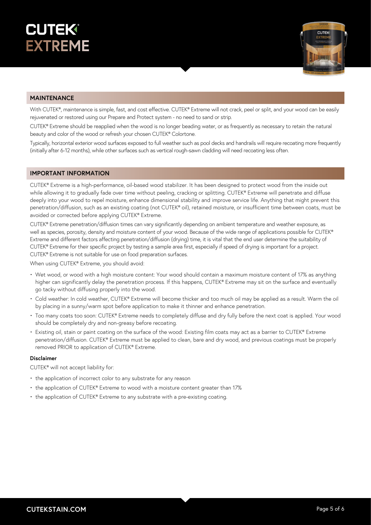



#### **MAINTENANCE**

With CUTEK®, maintenance is simple, fast, and cost effective. CUTEK® Extreme will not crack, peel or split, and your wood can be easily rejuvenated or restored using our Prepare and Protect system - no need to sand or strip.

CUTEK® Extreme should be reapplied when the wood is no longer beading water, or as frequently as necessary to retain the natural beauty and color of the wood or refresh your chosen CUTEK® Colortone.

Typically, horizontal exterior wood surfaces exposed to full weather such as pool decks and handrails will require recoating more frequently (initially after 6-12 months), while other surfaces such as vertical rough-sawn cladding will need recoating less often.

#### **IMPORTANT INFORMATION**

CUTEK® Extreme is a high-performance, oil-based wood stabilizer. It has been designed to protect wood from the inside out while allowing it to gradually fade over time without peeling, cracking or splitting. CUTEK® Extreme will penetrate and diffuse deeply into your wood to repel moisture, enhance dimensional stability and improve service life. Anything that might prevent this penetration/diffusion, such as an existing coating (not CUTEK® oil), retained moisture, or insufficient time between coats, must be avoided or corrected before applying CUTEK® Extreme.

CUTEK® Extreme penetration/diffusion times can vary significantly depending on ambient temperature and weather exposure, as well as species, porosity, density and moisture content of your wood. Because of the wide range of applications possible for CUTEK® Extreme and different factors affecting penetration/diffusion (drying) time, it is vital that the end user determine the suitability of CUTEK® Extreme for their specific project by testing a sample area first, especially if speed of drying is important for a project. CUTEK® Extreme is not suitable for use on food preparation surfaces.

When using CUTEK® Extreme, you should avoid:

- Wet wood, or wood with a high moisture content: Your wood should contain a maximum moisture content of 17% as anything higher can significantly delay the penetration process. If this happens, CUTEK® Extreme may sit on the surface and eventually go tacky without diffusing properly into the wood.
- Cold weather: In cold weather, CUTEK® Extreme will become thicker and too much oil may be applied as a result. Warm the oil by placing in a sunny/warm spot before application to make it thinner and enhance penetration.
- Too many coats too soon: CUTEK® Extreme needs to completely diffuse and dry fully before the next coat is applied. Your wood should be completely dry and non-greasy before recoating.
- Existing oil, stain or paint coating on the surface of the wood: Existing film coats may act as a barrier to CUTEK® Extreme penetration/diffusion. CUTEK® Extreme must be applied to clean, bare and dry wood, and previous coatings must be properly removed PRIOR to application of CUTEK® Extreme.

#### **Disclaimer**

CUTEK® will not accept liability for:

- the application of incorrect color to any substrate for any reason
- the application of CUTEK® Extreme to wood with a moisture content greater than 17%
- the application of CUTEK® Extreme to any substrate with a pre-existing coating.